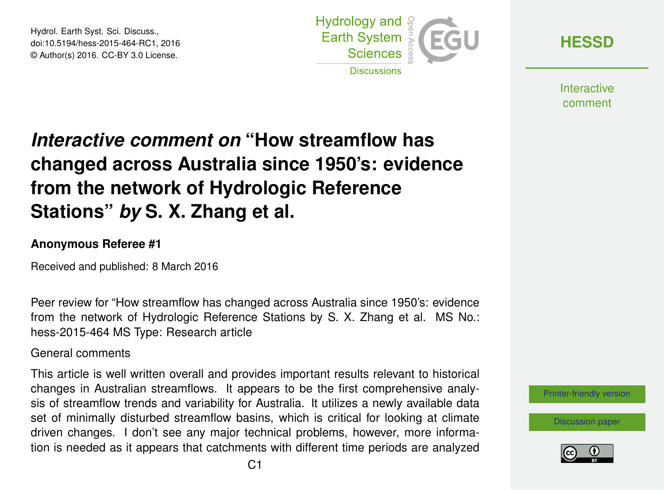Hydrol. Earth Syst. Sci. Discuss., doi:10.5194/hess-2015-464-RC1, 2016 © Author(s) 2016. CC-BY 3.0 License.



**[HESSD](http://www.hydrol-earth-syst-sci-discuss.net/)**

**Interactive** comment

## *Interactive comment on* **"How streamflow has changed across Australia since 1950's: evidence from the network of Hydrologic Reference Stations"** *by* **S. X. Zhang et al.**

## **Anonymous Referee #1**

Received and published: 8 March 2016

Peer review for "How streamflow has changed across Australia since 1950's: evidence from the network of Hydrologic Reference Stations by S. X. Zhang et al. MS No.: hess-2015-464 MS Type: Research article

General comments

This article is well written overall and provides important results relevant to historical changes in Australian streamflows. It appears to be the first comprehensive analysis of streamflow trends and variability for Australia. It utilizes a newly available data set of minimally disturbed streamflow basins, which is critical for looking at climate driven changes. I don't see any major technical problems, however, more information is needed as it appears that catchments with different time periods are analyzed

[Printer-friendly version](http://www.hydrol-earth-syst-sci-discuss.net/hess-2015-464/hess-2015-464-RC1-print.pdf)

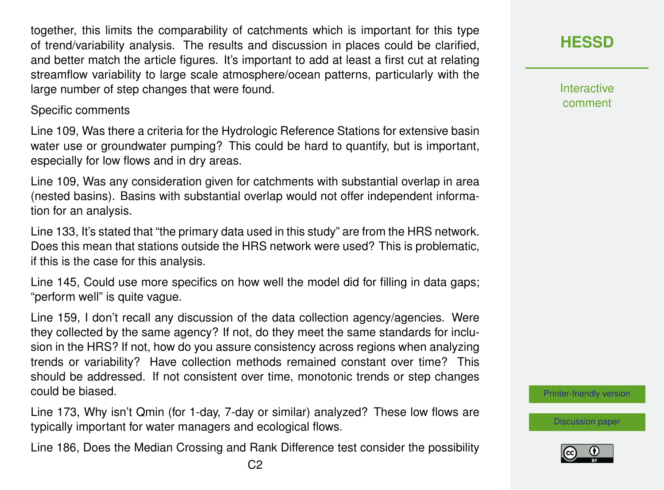together, this limits the comparability of catchments which is important for this type of trend/variability analysis. The results and discussion in places could be clarified, and better match the article figures. It's important to add at least a first cut at relating streamflow variability to large scale atmosphere/ocean patterns, particularly with the large number of step changes that were found.

## Specific comments

Line 109, Was there a criteria for the Hydrologic Reference Stations for extensive basin water use or groundwater pumping? This could be hard to quantify, but is important, especially for low flows and in dry areas.

Line 109, Was any consideration given for catchments with substantial overlap in area (nested basins). Basins with substantial overlap would not offer independent information for an analysis.

Line 133, It's stated that "the primary data used in this study" are from the HRS network. Does this mean that stations outside the HRS network were used? This is problematic, if this is the case for this analysis.

Line 145, Could use more specifics on how well the model did for filling in data gaps; "perform well" is quite vague.

Line 159, I don't recall any discussion of the data collection agency/agencies. Were they collected by the same agency? If not, do they meet the same standards for inclusion in the HRS? If not, how do you assure consistency across regions when analyzing trends or variability? Have collection methods remained constant over time? This should be addressed. If not consistent over time, monotonic trends or step changes could be biased.

Line 173, Why isn't Qmin (for 1-day, 7-day or similar) analyzed? These low flows are typically important for water managers and ecological flows.

Line 186, Does the Median Crossing and Rank Difference test consider the possibility

**[HESSD](http://www.hydrol-earth-syst-sci-discuss.net/)**

Interactive comment

[Printer-friendly version](http://www.hydrol-earth-syst-sci-discuss.net/hess-2015-464/hess-2015-464-RC1-print.pdf)

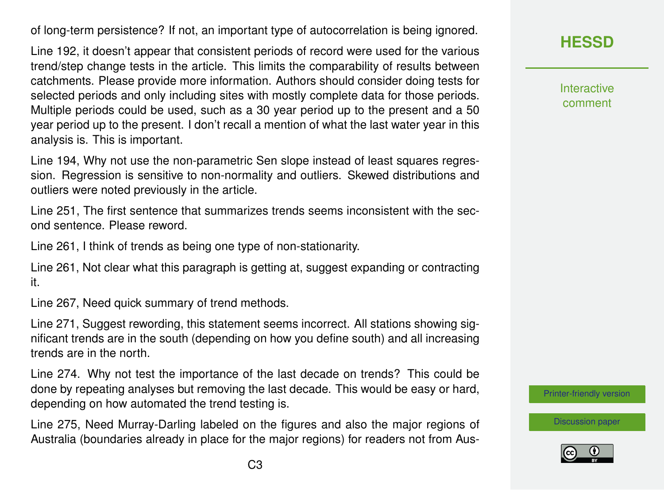of long-term persistence? If not, an important type of autocorrelation is being ignored.

Line 192, it doesn't appear that consistent periods of record were used for the various trend/step change tests in the article. This limits the comparability of results between catchments. Please provide more information. Authors should consider doing tests for selected periods and only including sites with mostly complete data for those periods. Multiple periods could be used, such as a 30 year period up to the present and a 50 year period up to the present. I don't recall a mention of what the last water year in this analysis is. This is important.

Line 194, Why not use the non-parametric Sen slope instead of least squares regression. Regression is sensitive to non-normality and outliers. Skewed distributions and outliers were noted previously in the article.

Line 251, The first sentence that summarizes trends seems inconsistent with the second sentence. Please reword.

Line 261, I think of trends as being one type of non-stationarity.

Line 261, Not clear what this paragraph is getting at, suggest expanding or contracting it.

Line 267, Need quick summary of trend methods.

Line 271, Suggest rewording, this statement seems incorrect. All stations showing significant trends are in the south (depending on how you define south) and all increasing trends are in the north.

Line 274. Why not test the importance of the last decade on trends? This could be done by repeating analyses but removing the last decade. This would be easy or hard, depending on how automated the trend testing is.

Line 275, Need Murray-Darling labeled on the figures and also the major regions of Australia (boundaries already in place for the major regions) for readers not from AusInteractive comment

[Printer-friendly version](http://www.hydrol-earth-syst-sci-discuss.net/hess-2015-464/hess-2015-464-RC1-print.pdf)

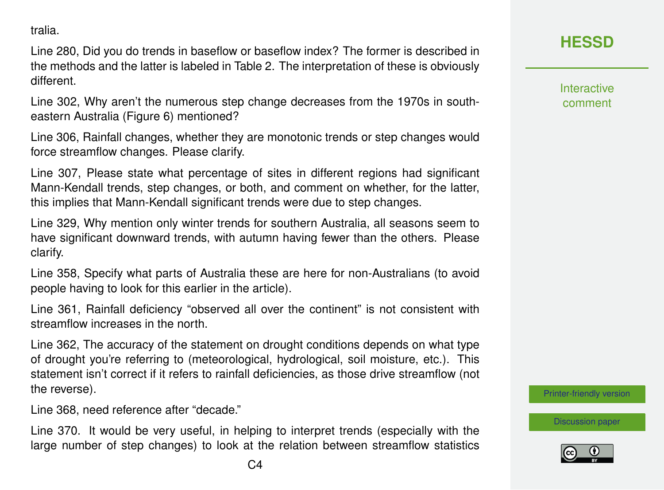tralia.

Line 280, Did you do trends in baseflow or baseflow index? The former is described in the methods and the latter is labeled in Table 2. The interpretation of these is obviously different.

Line 302, Why aren't the numerous step change decreases from the 1970s in southeastern Australia (Figure 6) mentioned?

Line 306, Rainfall changes, whether they are monotonic trends or step changes would force streamflow changes. Please clarify.

Line 307, Please state what percentage of sites in different regions had significant Mann-Kendall trends, step changes, or both, and comment on whether, for the latter, this implies that Mann-Kendall significant trends were due to step changes.

Line 329, Why mention only winter trends for southern Australia, all seasons seem to have significant downward trends, with autumn having fewer than the others. Please clarify.

Line 358, Specify what parts of Australia these are here for non-Australians (to avoid people having to look for this earlier in the article).

Line 361, Rainfall deficiency "observed all over the continent" is not consistent with streamflow increases in the north.

Line 362, The accuracy of the statement on drought conditions depends on what type of drought you're referring to (meteorological, hydrological, soil moisture, etc.). This statement isn't correct if it refers to rainfall deficiencies, as those drive streamflow (not the reverse).

Line 368, need reference after "decade."

Line 370. It would be very useful, in helping to interpret trends (especially with the large number of step changes) to look at the relation between streamflow statistics **Interactive** comment

[Printer-friendly version](http://www.hydrol-earth-syst-sci-discuss.net/hess-2015-464/hess-2015-464-RC1-print.pdf)